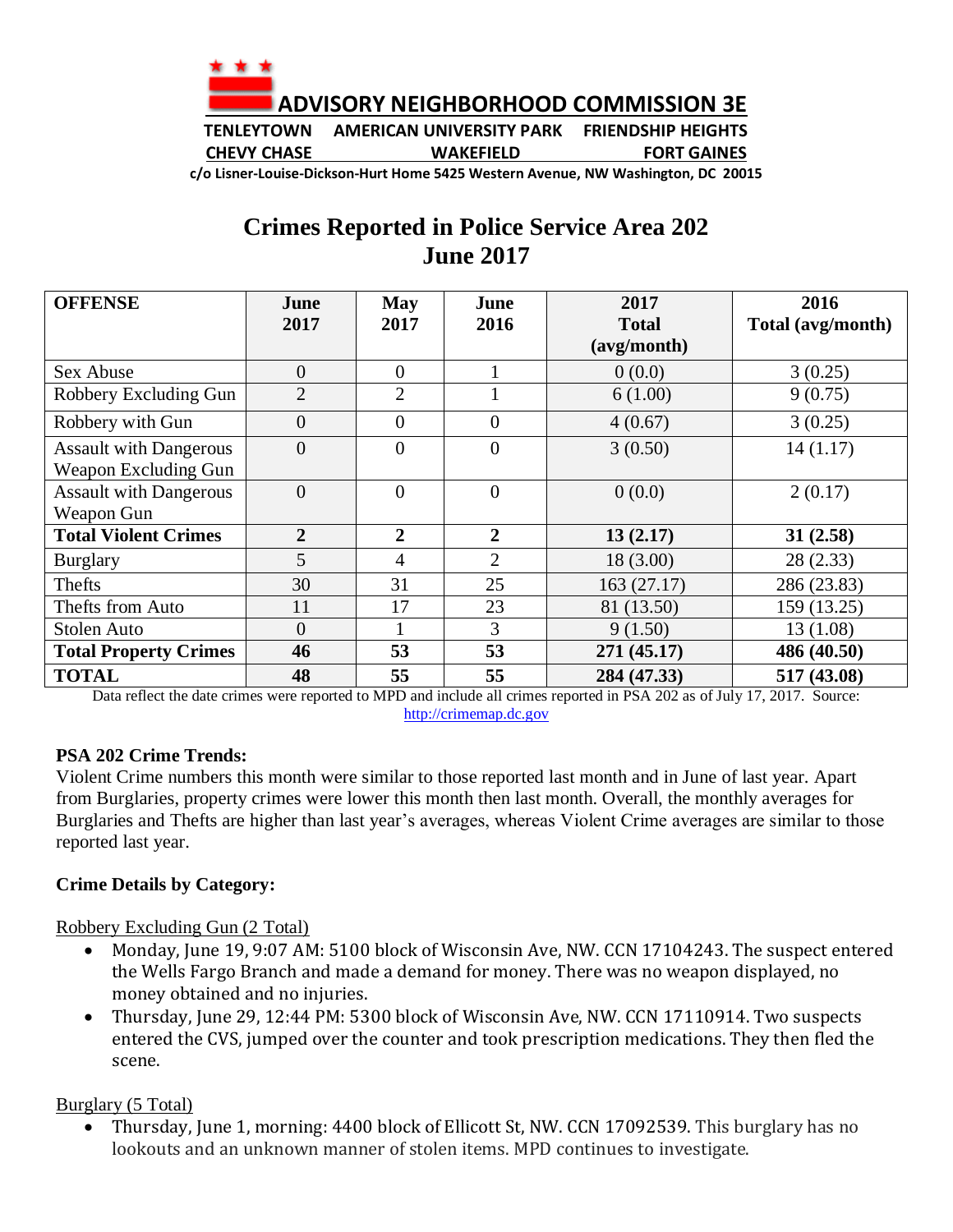

**TENLEYTOWN AMERICAN UNIVERSITY PARK FRIENDSHIP HEIGHTS CHEVY CHASE WAKEFIELD FORT GAINES**

**c/o Lisner-Louise-Dickson-Hurt Home 5425 Western Avenue, NW Washington, DC 20015**

## **Crimes Reported in Police Service Area 202 June 2017**

| <b>OFFENSE</b>                | June           | <b>May</b>     | June           | 2017         | 2016              |
|-------------------------------|----------------|----------------|----------------|--------------|-------------------|
|                               | 2017           | 2017           | 2016           | <b>Total</b> | Total (avg/month) |
|                               |                |                |                | (avg/month)  |                   |
| Sex Abuse                     | $\overline{0}$ | $\overline{0}$ |                | 0(0.0)       | 3(0.25)           |
| Robbery Excluding Gun         | $\overline{2}$ | $\overline{2}$ |                | 6(1.00)      | 9(0.75)           |
| Robbery with Gun              | $\overline{0}$ | $\overline{0}$ | $\overline{0}$ | 4(0.67)      | 3(0.25)           |
| <b>Assault with Dangerous</b> | $\overline{0}$ | $\theta$       | $\theta$       | 3(0.50)      | 14(1.17)          |
| Weapon Excluding Gun          |                |                |                |              |                   |
| <b>Assault with Dangerous</b> | $\overline{0}$ | $\theta$       | $\theta$       | 0(0.0)       | 2(0.17)           |
| Weapon Gun                    |                |                |                |              |                   |
| <b>Total Violent Crimes</b>   | $\overline{2}$ | $\overline{2}$ | $\overline{2}$ | 13(2.17)     | 31(2.58)          |
| <b>Burglary</b>               | 5              | $\overline{4}$ | $\overline{2}$ | 18(3.00)     | 28(2.33)          |
| Thefts                        | 30             | 31             | 25             | 163(27.17)   | 286 (23.83)       |
| Thefts from Auto              | 11             | 17             | 23             | 81 (13.50)   | 159 (13.25)       |
| <b>Stolen Auto</b>            | $\overline{0}$ |                | 3              | 9(1.50)      | 13(1.08)          |
| <b>Total Property Crimes</b>  | 46             | 53             | 53             | 271 (45.17)  | 486 (40.50)       |
| <b>TOTAL</b>                  | 48             | 55             | 55             | 284 (47.33)  | 517 (43.08)       |

Data reflect the date crimes were reported to MPD and include all crimes reported in PSA 202 as of July 17, 2017. Source: [http://crimemap.dc.gov](http://crimemap.dc.gov/)

## **PSA 202 Crime Trends:**

Violent Crime numbers this month were similar to those reported last month and in June of last year. Apart from Burglaries, property crimes were lower this month then last month. Overall, the monthly averages for Burglaries and Thefts are higher than last year's averages, whereas Violent Crime averages are similar to those reported last year.

## **Crime Details by Category:**

Robbery Excluding Gun (2 Total)

- Monday, June 19, 9:07 AM: 5100 block of Wisconsin Ave, NW. CCN 17104243. The suspect entered the Wells Fargo Branch and made a demand for money. There was no weapon displayed, no money obtained and no injuries.
- Thursday, June 29, 12:44 PM: 5300 block of Wisconsin Ave, NW. CCN 17110914. Two suspects entered the CVS, jumped over the counter and took prescription medications. They then fled the scene.

Burglary (5 Total)

• Thursday, June 1, morning: 4400 block of Ellicott St, NW. CCN 17092539. This burglary has no lookouts and an unknown manner of stolen items. MPD continues to investigate.